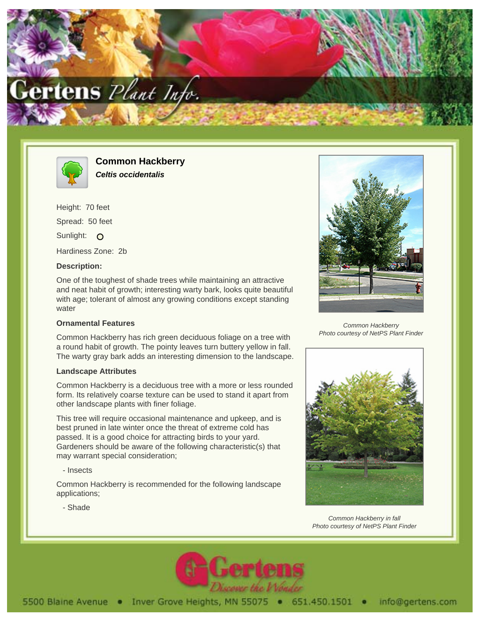



**Common Hackberry Celtis occidentalis**

Height: 70 feet Spread: 50 feet Sunlight: O Hardiness Zone: 2b

## **Description:**

One of the toughest of shade trees while maintaining an attractive and neat habit of growth; interesting warty bark, looks quite beautiful with age; tolerant of almost any growing conditions except standing water

## **Ornamental Features**

Common Hackberry has rich green deciduous foliage on a tree with a round habit of growth. The pointy leaves turn buttery yellow in fall. The warty gray bark adds an interesting dimension to the landscape.

## **Landscape Attributes**

Common Hackberry is a deciduous tree with a more or less rounded form. Its relatively coarse texture can be used to stand it apart from other landscape plants with finer foliage.

This tree will require occasional maintenance and upkeep, and is best pruned in late winter once the threat of extreme cold has passed. It is a good choice for attracting birds to your yard. Gardeners should be aware of the following characteristic(s) that may warrant special consideration;

- Insects

Common Hackberry is recommended for the following landscape applications;

- Shade



Common Hackberry Photo courtesy of NetPS Plant Finder



Common Hackberry in fall Photo courtesy of NetPS Plant Finder